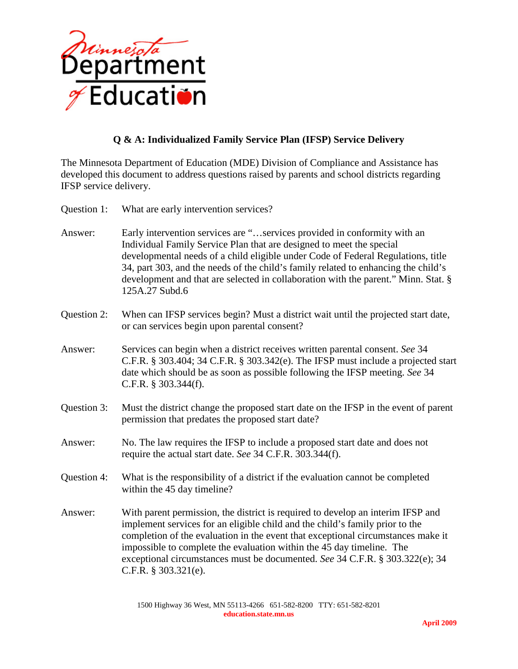

## **Q & A: Individualized Family Service Plan (IFSP) Service Delivery**

The Minnesota Department of Education (MDE) Division of Compliance and Assistance has developed this document to address questions raised by parents and school districts regarding IFSP service delivery.

- Question 1: What are early intervention services?
- Answer: Early intervention services are "…services provided in conformity with an Individual Family Service Plan that are designed to meet the special developmental needs of a child eligible under Code of Federal Regulations, title 34, part 303, and the needs of the child's family related to enhancing the child's development and that are selected in collaboration with the parent." Minn. Stat. § 125A.27 Subd.6
- Question 2: When can IFSP services begin? Must a district wait until the projected start date, or can services begin upon parental consent?
- Answer: Services can begin when a district receives written parental consent. *See* 34 C.F.R. § 303.404; 34 C.F.R. § 303.342(e). The IFSP must include a projected start date which should be as soon as possible following the IFSP meeting. *See* 34 C.F.R. § 303.344(f).
- Question 3: Must the district change the proposed start date on the IFSP in the event of parent permission that predates the proposed start date?
- Answer: No. The law requires the IFSP to include a proposed start date and does not require the actual start date. *See* 34 C.F.R. 303.344(f).
- Question 4: What is the responsibility of a district if the evaluation cannot be completed within the 45 day timeline?
- Answer: With parent permission, the district is required to develop an interim IFSP and implement services for an eligible child and the child's family prior to the completion of the evaluation in the event that exceptional circumstances make it impossible to complete the evaluation within the 45 day timeline. The exceptional circumstances must be documented. *See* 34 C.F.R. § 303.322(e); 34 C.F.R. § 303.321(e).